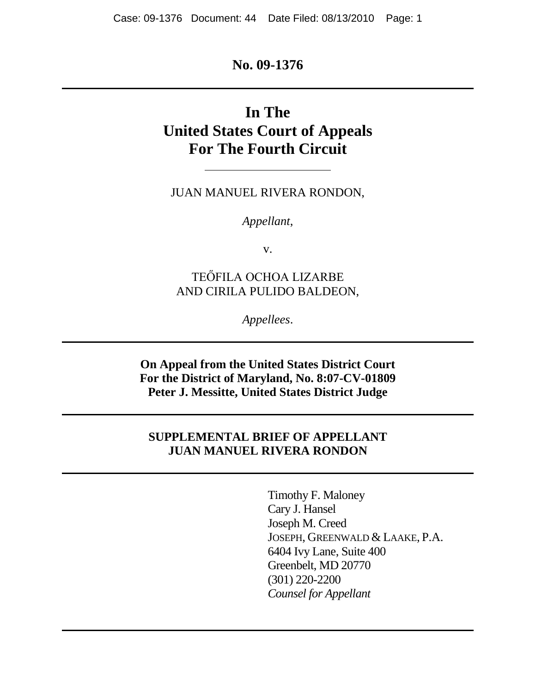## **No. 09-1376**

# **In The United States Court of Appeals For The Fourth Circuit**

JUAN MANUEL RIVERA RONDON,

*Appellant*,

v.

TEŐFILA OCHOA LIZARBE AND CIRILA PULIDO BALDEON,

*Appellees*.

**On Appeal from the United States District Court For the District of Maryland, No. 8:07-CV-01809 Peter J. Messitte, United States District Judge**

### **SUPPLEMENTAL BRIEF OF APPELLANT JUAN MANUEL RIVERA RONDON**

Timothy F. Maloney Cary J. Hansel Joseph M. Creed JOSEPH, GREENWALD & LAAKE, P.A. 6404 Ivy Lane, Suite 400 Greenbelt, MD 20770 (301) 220-2200 *Counsel for Appellant*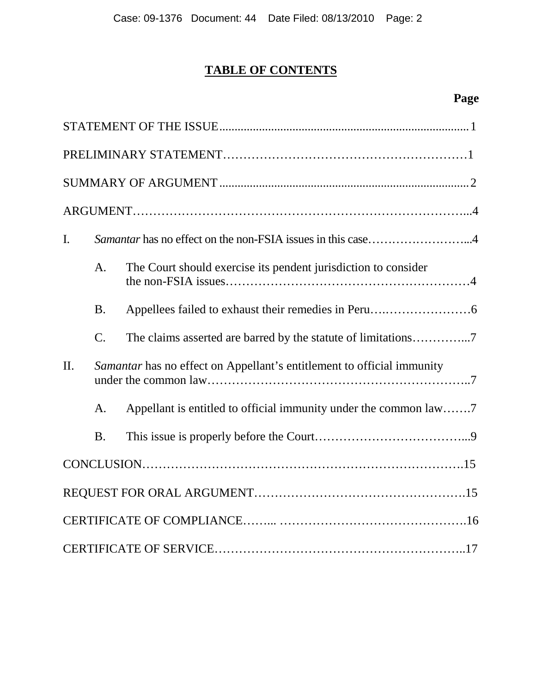# **TABLE OF CONTENTS**

# **Page**

| $\mathbf{I}$ . |                 | Samantar has no effect on the non-FSIA issues in this case4            |
|----------------|-----------------|------------------------------------------------------------------------|
|                | A.              | The Court should exercise its pendent jurisdiction to consider         |
|                | <b>B.</b>       |                                                                        |
|                | $\mathcal{C}$ . |                                                                        |
| II.            |                 | Samantar has no effect on Appellant's entitlement to official immunity |
|                | A.              | Appellant is entitled to official immunity under the common law7       |
|                | <b>B.</b>       |                                                                        |
|                |                 |                                                                        |
|                |                 |                                                                        |
|                |                 |                                                                        |
|                |                 |                                                                        |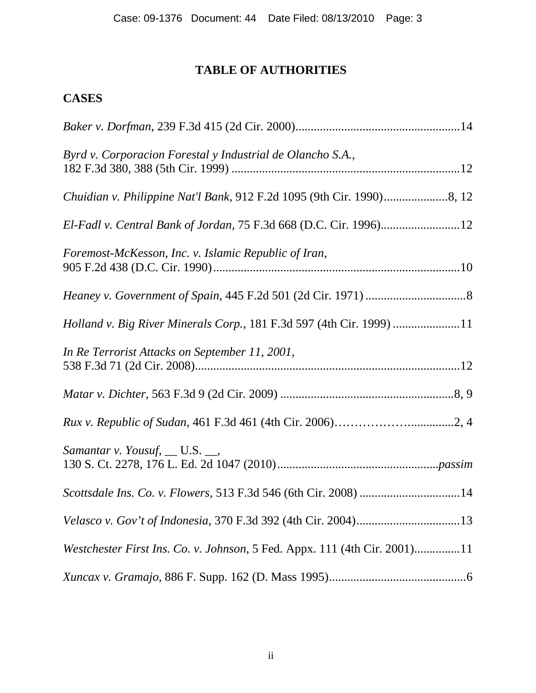# **TABLE OF AUTHORITIES**

# **CASES**

| Byrd v. Corporacion Forestal y Industrial de Olancho S.A.,                |
|---------------------------------------------------------------------------|
|                                                                           |
| El-Fadl v. Central Bank of Jordan, 75 F.3d 668 (D.C. Cir. 1996)12         |
| Foremost-McKesson, Inc. v. Islamic Republic of Iran,                      |
|                                                                           |
| Holland v. Big River Minerals Corp., 181 F.3d 597 (4th Cir. 1999) 11      |
| In Re Terrorist Attacks on September 11, 2001,                            |
|                                                                           |
|                                                                           |
| <i>Samantar v. Yousuf, __ U.S. __,</i>                                    |
| Scottsdale Ins. Co. v. Flowers, 513 F.3d 546 (6th Cir. 2008) 14           |
|                                                                           |
| Westchester First Ins. Co. v. Johnson, 5 Fed. Appx. 111 (4th Cir. 2001)11 |
|                                                                           |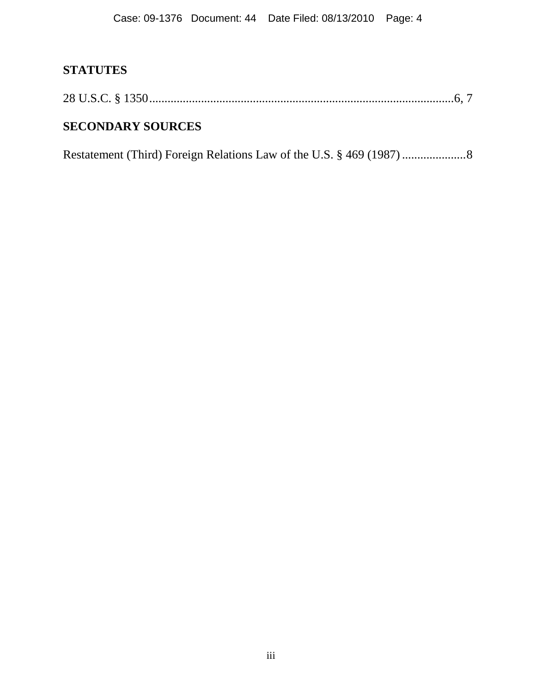# **STATUTES**

|--|--|--|

# **SECONDARY SOURCES**

Restatement (Third) Foreign Relations Law of the U.S. § 469 (1987).....................8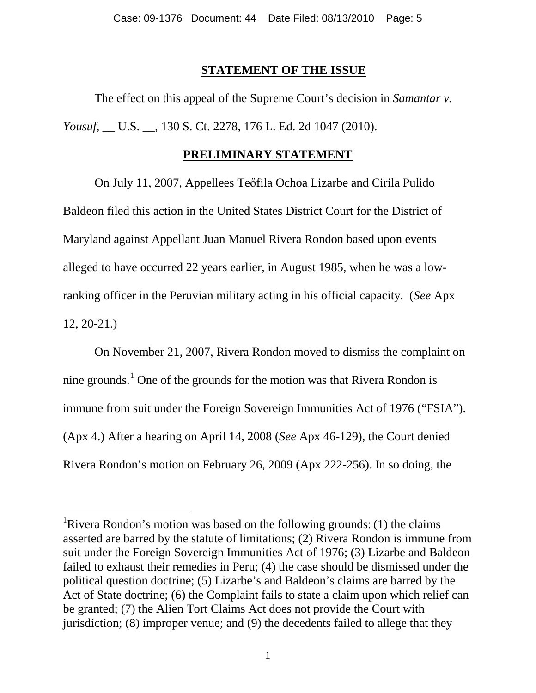### **STATEMENT OF THE ISSUE**

<span id="page-4-1"></span>The effect on this appeal of the Supreme Court's decision in *Samantar v. Yousuf*, \_\_ U.S. \_\_, 130 S. Ct. 2278, 176 L. Ed. 2d 1047 (2010).

### **PRELIMINARY STATEMENT**

On July 11, 2007, Appellees Teőfila Ochoa Lizarbe and Cirila Pulido Baldeon filed this action in the United States District Court for the District of Maryland against Appellant Juan Manuel Rivera Rondon based upon events alleged to have occurred 22 years earlier, in August 1985, when he was a lowranking officer in the Peruvian military acting in his official capacity. (*See* Apx 12, 20-21.)

On November 21, 2007, Rivera Rondon moved to dismiss the complaint on nine grounds.<sup>[1](#page-4-0)</sup> One of the grounds for the motion was that Rivera Rondon is immune from suit under the Foreign Sovereign Immunities Act of 1976 ("FSIA"). (Apx 4.) After a hearing on April 14, 2008 (*See* Apx 46-129), the Court denied Rivera Rondon's motion on February 26, 2009 (Apx 222-256). In so doing, the

<span id="page-4-0"></span><sup>&</sup>lt;sup>1</sup>Rivera Rondon's motion was based on the following grounds: (1) the claims asserted are barred by the statute of limitations; (2) Rivera Rondon is immune from suit under the Foreign Sovereign Immunities Act of 1976; (3) Lizarbe and Baldeon failed to exhaust their remedies in Peru; (4) the case should be dismissed under the political question doctrine; (5) Lizarbe's and Baldeon's claims are barred by the Act of State doctrine; (6) the Complaint fails to state a claim upon which relief can be granted; (7) the Alien Tort Claims Act does not provide the Court with jurisdiction; (8) improper venue; and (9) the decedents failed to allege that they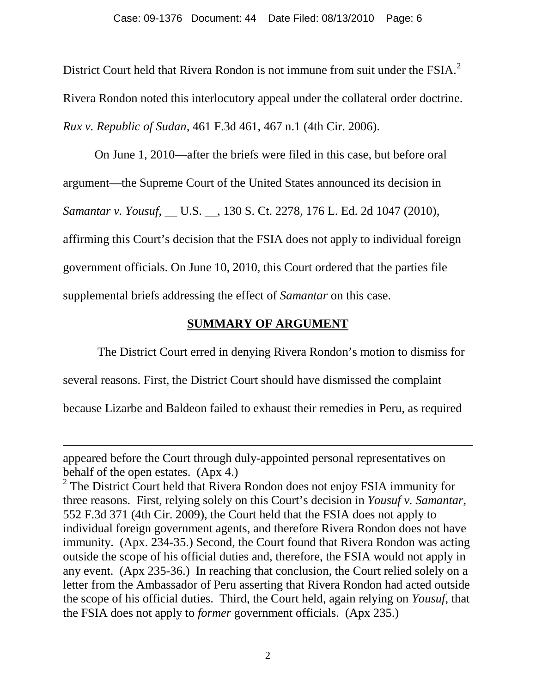District Court held that Rivera Rondon is not immune from suit under the FSIA.<sup>[2](#page-4-1)</sup> Rivera Rondon noted this interlocutory appeal under the collateral order doctrine. *Rux v. Republic of Sudan*, 461 F.3d 461, 467 n.1 (4th Cir. 2006).

On June 1, 2010—after the briefs were filed in this case, but before oral argument—the Supreme Court of the United States announced its decision in *Samantar v. Yousuf*, \_\_ U.S. \_\_, 130 S. Ct. 2278, 176 L. Ed. 2d 1047 (2010), affirming this Court's decision that the FSIA does not apply to individual foreign government officials. On June 10, 2010, this Court ordered that the parties file supplemental briefs addressing the effect of *Samantar* on this case.

## **SUMMARY OF ARGUMENT**

The District Court erred in denying Rivera Rondon's motion to dismiss for

several reasons. First, the District Court should have dismissed the complaint

because Lizarbe and Baldeon failed to exhaust their remedies in Peru, as required

 $\overline{a}$ 

appeared before the Court through duly-appointed personal representatives on behalf of the open estates. (Apx 4.)

<sup>&</sup>lt;sup>2</sup> The District Court held that Rivera Rondon does not enjoy FSIA immunity for three reasons. First, relying solely on this Court's decision in *Yousuf v. Samantar*, 552 F.3d 371 (4th Cir. 2009), the Court held that the FSIA does not apply to individual foreign government agents, and therefore Rivera Rondon does not have immunity. (Apx. 234-35.) Second, the Court found that Rivera Rondon was acting outside the scope of his official duties and, therefore, the FSIA would not apply in any event. (Apx 235-36.) In reaching that conclusion, the Court relied solely on a letter from the Ambassador of Peru asserting that Rivera Rondon had acted outside the scope of his official duties. Third, the Court held, again relying on *Yousuf*, that the FSIA does not apply to *former* government officials. (Apx 235.)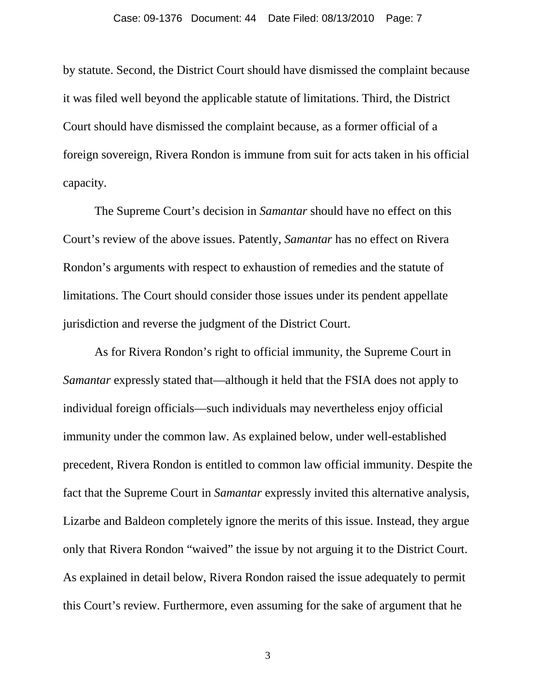by statute. Second, the District Court should have dismissed the complaint because it was filed well beyond the applicable statute of limitations. Third, the District Court should have dismissed the complaint because, as a former official of a foreign sovereign, Rivera Rondon is immune from suit for acts taken in his official capacity.

The Supreme Court's decision in *Samantar* should have no effect on this Court's review of the above issues. Patently, *Samantar* has no effect on Rivera Rondon's arguments with respect to exhaustion of remedies and the statute of limitations. The Court should consider those issues under its pendent appellate jurisdiction and reverse the judgment of the District Court.

As for Rivera Rondon's right to official immunity, the Supreme Court in *Samantar* expressly stated that—although it held that the FSIA does not apply to individual foreign officials—such individuals may nevertheless enjoy official immunity under the common law. As explained below, under well-established precedent, Rivera Rondon is entitled to common law official immunity. Despite the fact that the Supreme Court in *Samantar* expressly invited this alternative analysis, Lizarbe and Baldeon completely ignore the merits of this issue. Instead, they argue only that Rivera Rondon "waived" the issue by not arguing it to the District Court. As explained in detail below, Rivera Rondon raised the issue adequately to permit this Court's review. Furthermore, even assuming for the sake of argument that he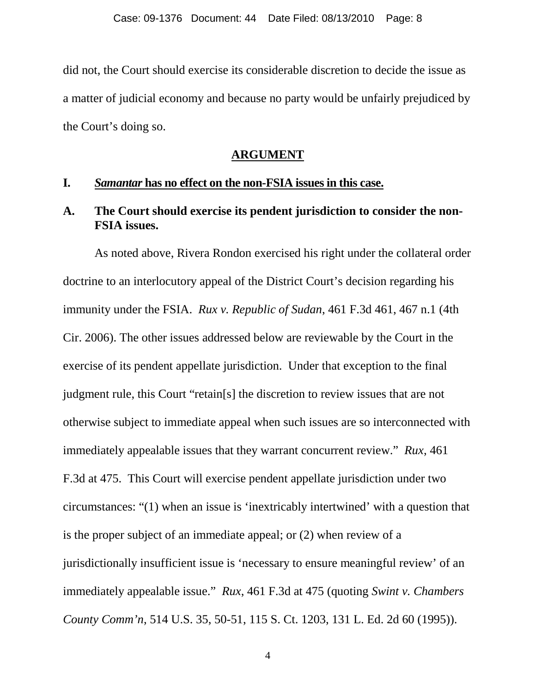did not, the Court should exercise its considerable discretion to decide the issue as a matter of judicial economy and because no party would be unfairly prejudiced by the Court's doing so.

#### **ARGUMENT**

#### **I.** *Samantar* **has no effect on the non-FSIA issues in this case.**

### **A. The Court should exercise its pendent jurisdiction to consider the non-FSIA issues.**

<span id="page-7-0"></span>As noted above, Rivera Rondon exercised his right under the collateral order doctrine to an interlocutory appeal of the District Court's decision regarding his immunity under the FSIA. *Rux v. Republic of Sudan*, 461 F.3d 461, 467 n.1 (4th Cir. 2006). The other issues addressed below are reviewable by the Court in the exercise of its pendent appellate jurisdiction. Under that exception to the final judgment rule, this Court "retain[s] the discretion to review issues that are not otherwise subject to immediate appeal when such issues are so interconnected with immediately appealable issues that they warrant concurrent review." *Rux*, 461 F.3d at 475. This Court will exercise pendent appellate jurisdiction under two circumstances: "(1) when an issue is 'inextricably intertwined' with a question that is the proper subject of an immediate appeal; or (2) when review of a jurisdictionally insufficient issue is 'necessary to ensure meaningful review' of an immediately appealable issue." *Rux*, 461 F.3d at 475 (quoting *Swint v. Chambers County Comm'n*, 514 U.S. 35, 50-51, 115 S. Ct. 1203, 131 L. Ed. 2d 60 (1995)).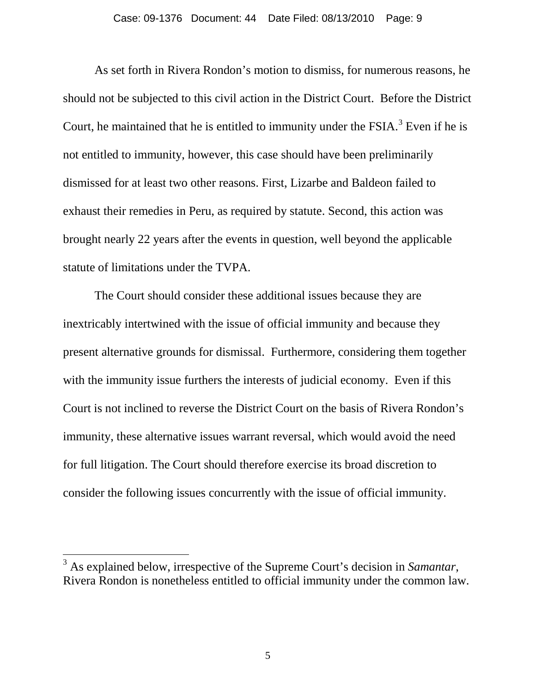As set forth in Rivera Rondon's motion to dismiss, for numerous reasons, he should not be subjected to this civil action in the District Court. Before the District Court, he maintained that he is entitled to immunity under the FSIA.<sup>[3](#page-7-0)</sup> Even if he is not entitled to immunity, however, this case should have been preliminarily dismissed for at least two other reasons. First, Lizarbe and Baldeon failed to exhaust their remedies in Peru, as required by statute. Second, this action was brought nearly 22 years after the events in question, well beyond the applicable statute of limitations under the TVPA.

The Court should consider these additional issues because they are inextricably intertwined with the issue of official immunity and because they present alternative grounds for dismissal. Furthermore, considering them together with the immunity issue furthers the interests of judicial economy. Even if this Court is not inclined to reverse the District Court on the basis of Rivera Rondon's immunity, these alternative issues warrant reversal, which would avoid the need for full litigation. The Court should therefore exercise its broad discretion to consider the following issues concurrently with the issue of official immunity.

 <sup>3</sup> As explained below, irrespective of the Supreme Court's decision in *Samantar*, Rivera Rondon is nonetheless entitled to official immunity under the common law.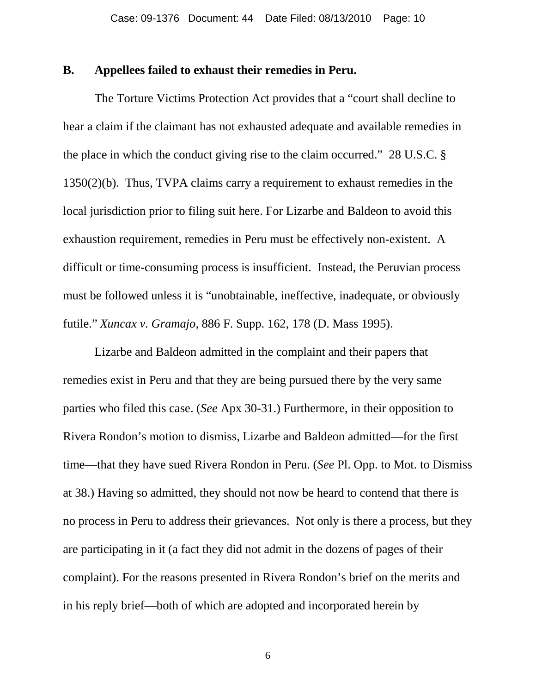### **B. Appellees failed to exhaust their remedies in Peru.**

The Torture Victims Protection Act provides that a "court shall decline to hear a claim if the claimant has not exhausted adequate and available remedies in the place in which the conduct giving rise to the claim occurred." 28 U.S.C. § 1350(2)(b). Thus, TVPA claims carry a requirement to exhaust remedies in the local jurisdiction prior to filing suit here. For Lizarbe and Baldeon to avoid this exhaustion requirement, remedies in Peru must be effectively non-existent. A difficult or time-consuming process is insufficient. Instead, the Peruvian process must be followed unless it is "unobtainable, ineffective, inadequate, or obviously futile." *Xuncax v. Gramajo*, 886 F. Supp. 162, 178 (D. Mass 1995).

Lizarbe and Baldeon admitted in the complaint and their papers that remedies exist in Peru and that they are being pursued there by the very same parties who filed this case. (*See* Apx 30-31.) Furthermore, in their opposition to Rivera Rondon's motion to dismiss, Lizarbe and Baldeon admitted—for the first time—that they have sued Rivera Rondon in Peru. (*See* Pl. Opp. to Mot. to Dismiss at 38.) Having so admitted, they should not now be heard to contend that there is no process in Peru to address their grievances. Not only is there a process, but they are participating in it (a fact they did not admit in the dozens of pages of their complaint). For the reasons presented in Rivera Rondon's brief on the merits and in his reply brief—both of which are adopted and incorporated herein by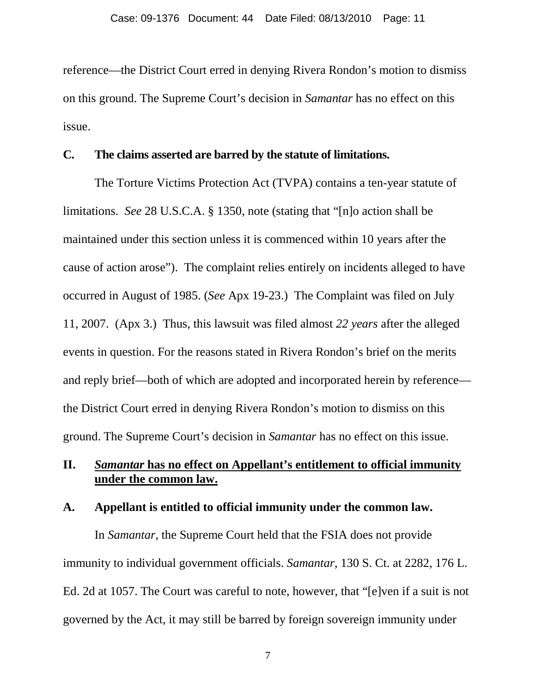reference—the District Court erred in denying Rivera Rondon's motion to dismiss on this ground. The Supreme Court's decision in *Samantar* has no effect on this issue.

### **C. The claims asserted are barred by the statute of limitations.**

The Torture Victims Protection Act (TVPA) contains a ten-year statute of limitations. *See* 28 U.S.C.A. § 1350, note (stating that "[n]o action shall be maintained under this section unless it is commenced within 10 years after the cause of action arose"). The complaint relies entirely on incidents alleged to have occurred in August of 1985. (*See* Apx 19-23.) The Complaint was filed on July 11, 2007. (Apx 3.) Thus, this lawsuit was filed almost *22 years* after the alleged events in question. For the reasons stated in Rivera Rondon's brief on the merits and reply brief—both of which are adopted and incorporated herein by reference the District Court erred in denying Rivera Rondon's motion to dismiss on this ground. The Supreme Court's decision in *Samantar* has no effect on this issue.

## **II.** *Samantar* **has no effect on Appellant's entitlement to official immunity under the common law.**

#### **A. Appellant is entitled to official immunity under the common law.**

In *Samantar*, the Supreme Court held that the FSIA does not provide immunity to individual government officials. *Samantar*, 130 S. Ct. at 2282, 176 L. Ed. 2d at 1057. The Court was careful to note, however, that "[e]ven if a suit is not governed by the Act, it may still be barred by foreign sovereign immunity under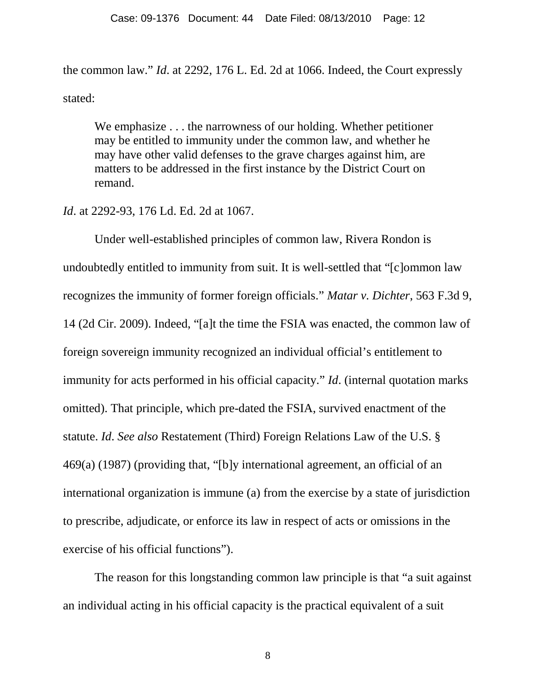the common law." *Id*. at 2292, 176 L. Ed. 2d at 1066. Indeed, the Court expressly stated:

We emphasize . . . the narrowness of our holding. Whether petitioner may be entitled to immunity under the common law, and whether he may have other valid defenses to the grave charges against him, are matters to be addressed in the first instance by the District Court on remand.

*Id*. at 2292-93, 176 Ld. Ed. 2d at 1067.

Under well-established principles of common law, Rivera Rondon is undoubtedly entitled to immunity from suit. It is well-settled that "[c]ommon law recognizes the immunity of former foreign officials." *Matar v. Dichter*, 563 F.3d 9, 14 (2d Cir. 2009). Indeed, "[a]t the time the FSIA was enacted, the common law of foreign sovereign immunity recognized an individual official's entitlement to immunity for acts performed in his official capacity." *Id*. (internal quotation marks omitted). That principle, which pre-dated the FSIA, survived enactment of the statute. *Id*. *See also* Restatement (Third) Foreign Relations Law of the U.S. § 469(a) (1987) (providing that, "[b]y international agreement, an official of an international organization is immune (a) from the exercise by a state of jurisdiction to prescribe, adjudicate, or enforce its law in respect of acts or omissions in the exercise of his official functions").

The reason for this longstanding common law principle is that "a suit against an individual acting in his official capacity is the practical equivalent of a suit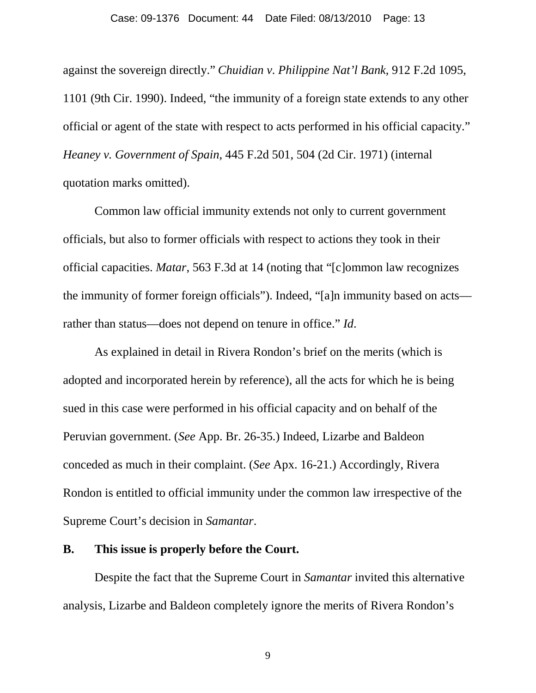#### Case: 09-1376 Document: 44 Date Filed: 08/13/2010 Page: 13

against the sovereign directly." *Chuidian v. Philippine Nat'l Bank*, 912 F.2d 1095, 1101 (9th Cir. 1990). Indeed, "the immunity of a foreign state extends to any other official or agent of the state with respect to acts performed in his official capacity." *Heaney v. Government of Spain*, 445 F.2d 501, 504 (2d Cir. 1971) (internal quotation marks omitted).

Common law official immunity extends not only to current government officials, but also to former officials with respect to actions they took in their official capacities. *Matar*, 563 F.3d at 14 (noting that "[c]ommon law recognizes the immunity of former foreign officials"). Indeed, "[a]n immunity based on acts rather than status—does not depend on tenure in office." *Id*.

As explained in detail in Rivera Rondon's brief on the merits (which is adopted and incorporated herein by reference), all the acts for which he is being sued in this case were performed in his official capacity and on behalf of the Peruvian government. (*See* App. Br. 26-35.) Indeed, Lizarbe and Baldeon conceded as much in their complaint. (*See* Apx. 16-21.) Accordingly, Rivera Rondon is entitled to official immunity under the common law irrespective of the Supreme Court's decision in *Samantar*.

#### **B. This issue is properly before the Court.**

Despite the fact that the Supreme Court in *Samantar* invited this alternative analysis, Lizarbe and Baldeon completely ignore the merits of Rivera Rondon's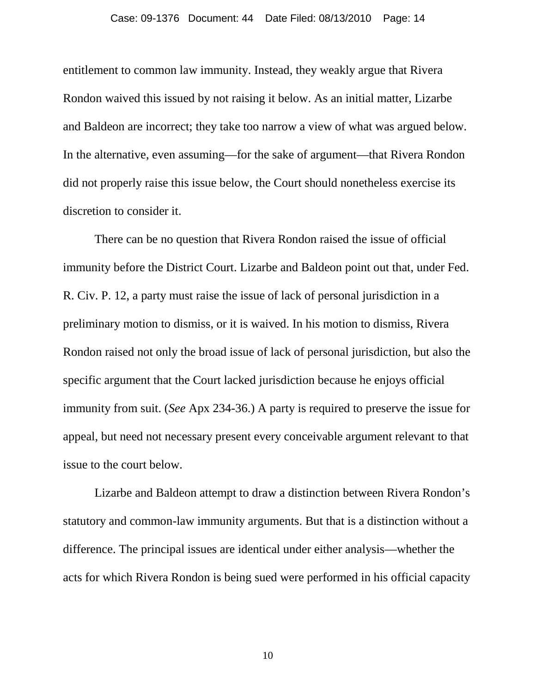entitlement to common law immunity. Instead, they weakly argue that Rivera Rondon waived this issued by not raising it below. As an initial matter, Lizarbe and Baldeon are incorrect; they take too narrow a view of what was argued below. In the alternative, even assuming—for the sake of argument—that Rivera Rondon did not properly raise this issue below, the Court should nonetheless exercise its discretion to consider it.

There can be no question that Rivera Rondon raised the issue of official immunity before the District Court. Lizarbe and Baldeon point out that, under Fed. R. Civ. P. 12, a party must raise the issue of lack of personal jurisdiction in a preliminary motion to dismiss, or it is waived. In his motion to dismiss, Rivera Rondon raised not only the broad issue of lack of personal jurisdiction, but also the specific argument that the Court lacked jurisdiction because he enjoys official immunity from suit. (*See* Apx 234-36.) A party is required to preserve the issue for appeal, but need not necessary present every conceivable argument relevant to that issue to the court below.

<span id="page-13-0"></span>Lizarbe and Baldeon attempt to draw a distinction between Rivera Rondon's statutory and common-law immunity arguments. But that is a distinction without a difference. The principal issues are identical under either analysis—whether the acts for which Rivera Rondon is being sued were performed in his official capacity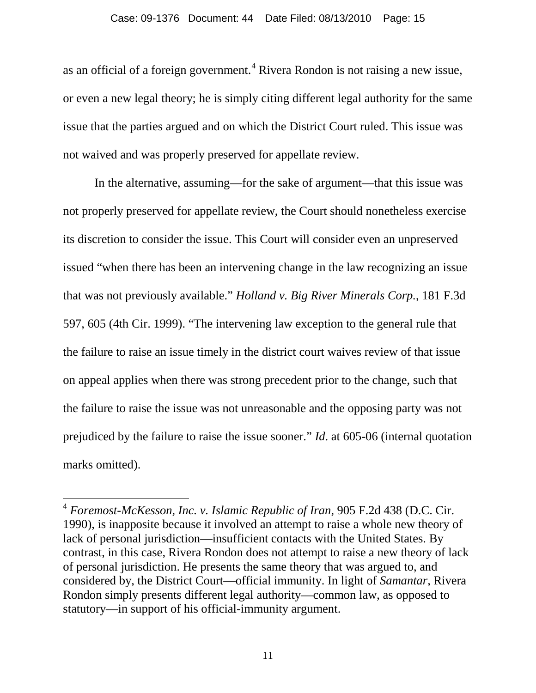as an official of a foreign government.<sup>[4](#page-13-0)</sup> Rivera Rondon is not raising a new issue, or even a new legal theory; he is simply citing different legal authority for the same issue that the parties argued and on which the District Court ruled. This issue was not waived and was properly preserved for appellate review.

In the alternative, assuming—for the sake of argument—that this issue was not properly preserved for appellate review, the Court should nonetheless exercise its discretion to consider the issue. This Court will consider even an unpreserved issued "when there has been an intervening change in the law recognizing an issue that was not previously available." *Holland v. Big River Minerals Corp.*, 181 F.3d 597, 605 (4th Cir. 1999). "The intervening law exception to the general rule that the failure to raise an issue timely in the district court waives review of that issue on appeal applies when there was strong precedent prior to the change, such that the failure to raise the issue was not unreasonable and the opposing party was not prejudiced by the failure to raise the issue sooner." *Id*. at 605-06 (internal quotation marks omitted).

 <sup>4</sup> *Foremost-McKesson, Inc. v. Islamic Republic of Iran*, 905 F.2d 438 (D.C. Cir. 1990), is inapposite because it involved an attempt to raise a whole new theory of lack of personal jurisdiction—insufficient contacts with the United States. By contrast, in this case, Rivera Rondon does not attempt to raise a new theory of lack of personal jurisdiction. He presents the same theory that was argued to, and considered by, the District Court—official immunity. In light of *Samantar*, Rivera Rondon simply presents different legal authority—common law, as opposed to statutory—in support of his official-immunity argument.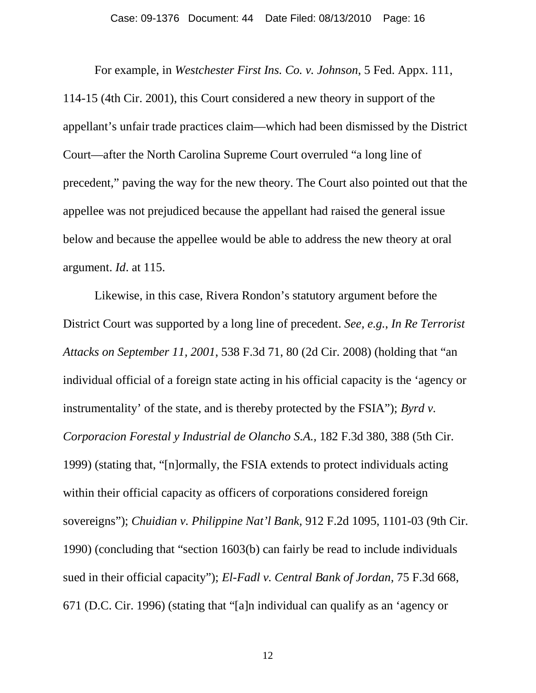For example, in *Westchester First Ins. Co. v. Johnson*, 5 Fed. Appx. 111, 114-15 (4th Cir. 2001), this Court considered a new theory in support of the appellant's unfair trade practices claim—which had been dismissed by the District Court—after the North Carolina Supreme Court overruled "a long line of precedent," paving the way for the new theory. The Court also pointed out that the appellee was not prejudiced because the appellant had raised the general issue below and because the appellee would be able to address the new theory at oral argument. *Id*. at 115.

Likewise, in this case, Rivera Rondon's statutory argument before the District Court was supported by a long line of precedent. *See, e.g.*, *In Re Terrorist Attacks on September 11, 2001*, 538 F.3d 71, 80 (2d Cir. 2008) (holding that "an individual official of a foreign state acting in his official capacity is the 'agency or instrumentality' of the state, and is thereby protected by the FSIA"); *Byrd v. Corporacion Forestal y Industrial de Olancho S.A.,* 182 F.3d 380, 388 (5th Cir. 1999) (stating that, "[n]ormally, the FSIA extends to protect individuals acting within their official capacity as officers of corporations considered foreign sovereigns"); *Chuidian v. Philippine Nat'l Bank,* 912 F.2d 1095, 1101-03 (9th Cir. 1990) (concluding that "section 1603(b) can fairly be read to include individuals sued in their official capacity"); *El-Fadl v. Central Bank of Jordan,* 75 F.3d 668, 671 (D.C. Cir. 1996) (stating that "[a]n individual can qualify as an 'agency or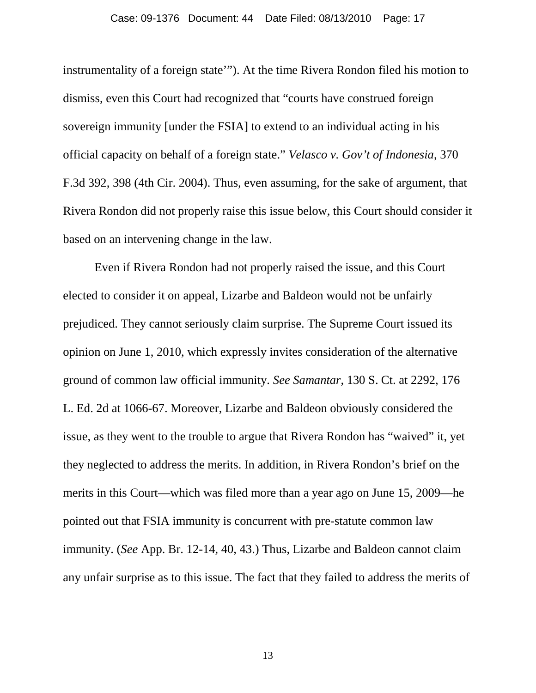instrumentality of a foreign state'"). At the time Rivera Rondon filed his motion to dismiss, even this Court had recognized that "courts have construed foreign sovereign immunity [under the FSIA] to extend to an individual acting in his official capacity on behalf of a foreign state." *Velasco v. Gov't of Indonesia*, 370 F.3d 392, 398 (4th Cir. 2004). Thus, even assuming, for the sake of argument, that Rivera Rondon did not properly raise this issue below, this Court should consider it based on an intervening change in the law.

Even if Rivera Rondon had not properly raised the issue, and this Court elected to consider it on appeal, Lizarbe and Baldeon would not be unfairly prejudiced. They cannot seriously claim surprise. The Supreme Court issued its opinion on June 1, 2010, which expressly invites consideration of the alternative ground of common law official immunity. *See Samantar*, 130 S. Ct. at 2292, 176 L. Ed. 2d at 1066-67. Moreover, Lizarbe and Baldeon obviously considered the issue, as they went to the trouble to argue that Rivera Rondon has "waived" it, yet they neglected to address the merits. In addition, in Rivera Rondon's brief on the merits in this Court—which was filed more than a year ago on June 15, 2009—he pointed out that FSIA immunity is concurrent with pre-statute common law immunity. (*See* App. Br. 12-14, 40, 43.) Thus, Lizarbe and Baldeon cannot claim any unfair surprise as to this issue. The fact that they failed to address the merits of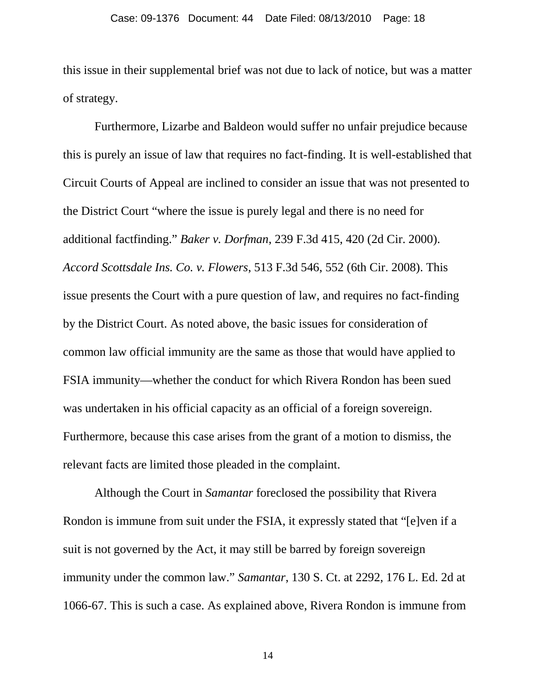this issue in their supplemental brief was not due to lack of notice, but was a matter of strategy.

Furthermore, Lizarbe and Baldeon would suffer no unfair prejudice because this is purely an issue of law that requires no fact-finding. It is well-established that Circuit Courts of Appeal are inclined to consider an issue that was not presented to the District Court "where the issue is purely legal and there is no need for additional factfinding." *Baker v. Dorfman*, 239 F.3d 415, 420 (2d Cir. 2000). *Accord Scottsdale Ins. Co. v. Flowers*, 513 F.3d 546, 552 (6th Cir. 2008). This issue presents the Court with a pure question of law, and requires no fact-finding by the District Court. As noted above, the basic issues for consideration of common law official immunity are the same as those that would have applied to FSIA immunity—whether the conduct for which Rivera Rondon has been sued was undertaken in his official capacity as an official of a foreign sovereign. Furthermore, because this case arises from the grant of a motion to dismiss, the relevant facts are limited those pleaded in the complaint.

Although the Court in *Samantar* foreclosed the possibility that Rivera Rondon is immune from suit under the FSIA, it expressly stated that "[e]ven if a suit is not governed by the Act, it may still be barred by foreign sovereign immunity under the common law." *Samantar*, 130 S. Ct. at 2292, 176 L. Ed. 2d at 1066-67. This is such a case. As explained above, Rivera Rondon is immune from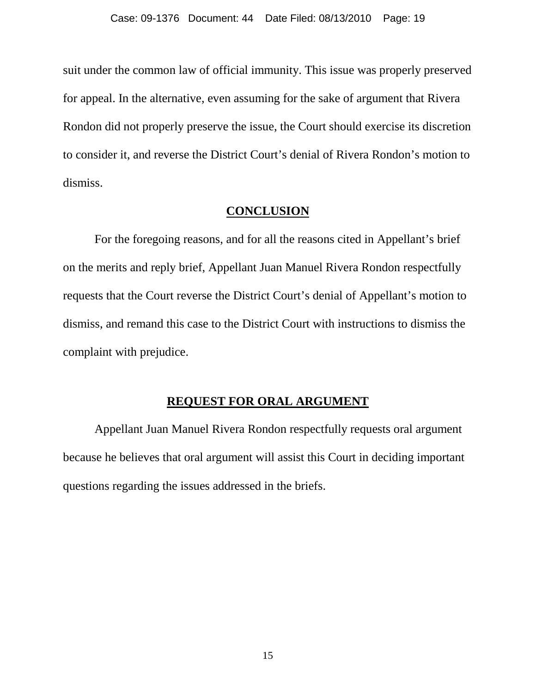suit under the common law of official immunity. This issue was properly preserved for appeal. In the alternative, even assuming for the sake of argument that Rivera Rondon did not properly preserve the issue, the Court should exercise its discretion to consider it, and reverse the District Court's denial of Rivera Rondon's motion to dismiss.

### **CONCLUSION**

For the foregoing reasons, and for all the reasons cited in Appellant's brief on the merits and reply brief, Appellant Juan Manuel Rivera Rondon respectfully requests that the Court reverse the District Court's denial of Appellant's motion to dismiss, and remand this case to the District Court with instructions to dismiss the complaint with prejudice.

### **REQUEST FOR ORAL ARGUMENT**

Appellant Juan Manuel Rivera Rondon respectfully requests oral argument because he believes that oral argument will assist this Court in deciding important questions regarding the issues addressed in the briefs.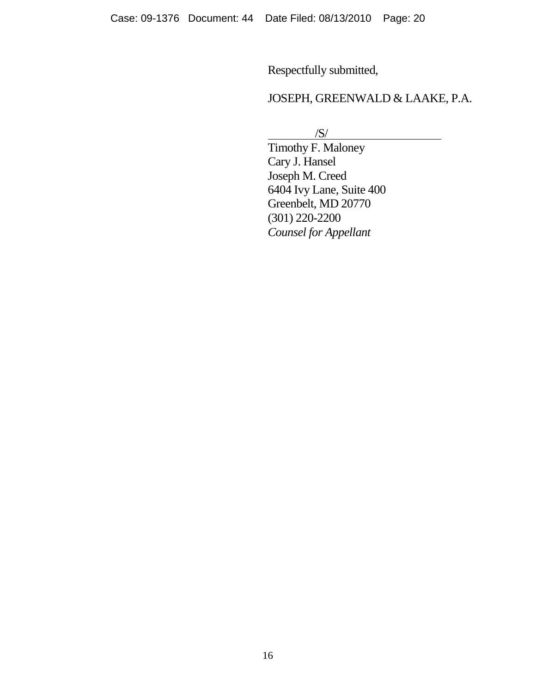Respectfully submitted,

## JOSEPH, GREENWALD & LAAKE, P.A.

/S/

Timothy F. Maloney Cary J. Hansel Joseph M. Creed 6404 Ivy Lane, Suite 400 Greenbelt, MD 20770 (301) 220-2200 *Counsel for Appellant*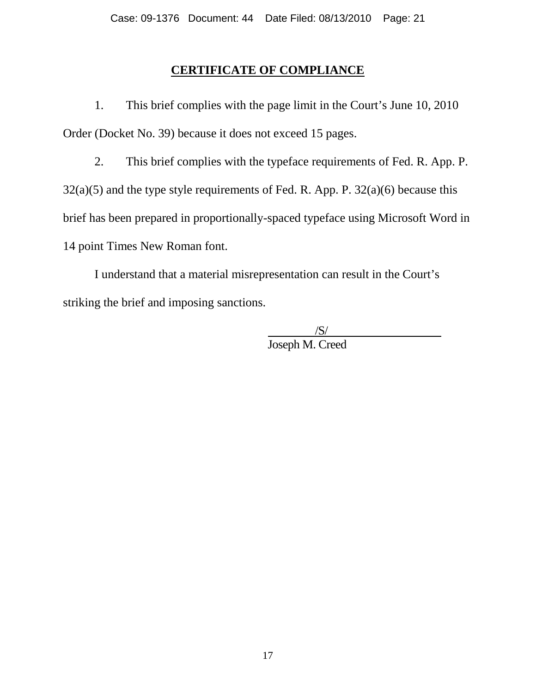### **CERTIFICATE OF COMPLIANCE**

1. This brief complies with the page limit in the Court's June 10, 2010 Order (Docket No. 39) because it does not exceed 15 pages.

2. This brief complies with the typeface requirements of Fed. R. App. P.  $32(a)(5)$  and the type style requirements of Fed. R. App. P.  $32(a)(6)$  because this brief has been prepared in proportionally-spaced typeface using Microsoft Word in 14 point Times New Roman font.

I understand that a material misrepresentation can result in the Court's striking the brief and imposing sanctions.

> /S/ Joseph M. Creed